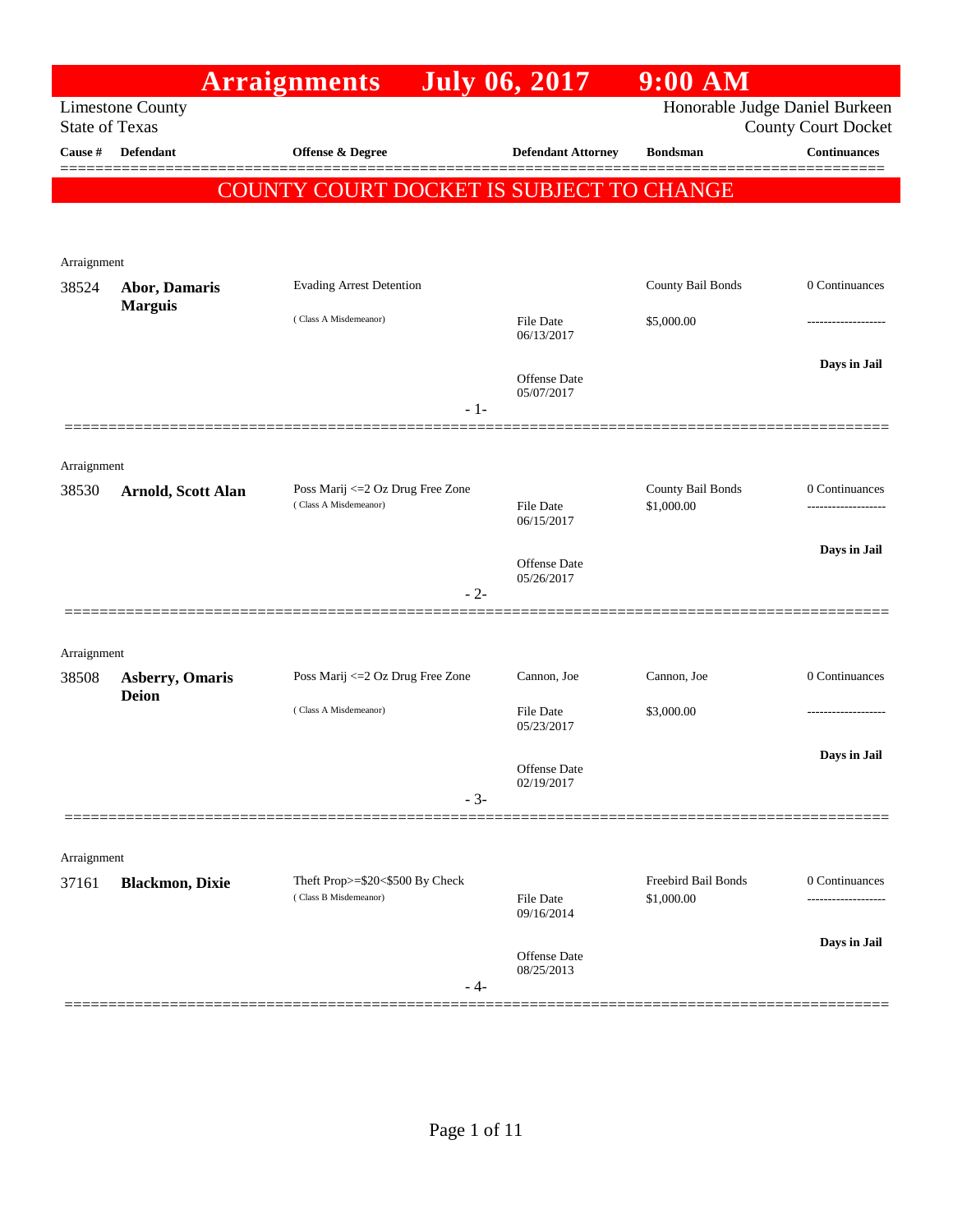|                       |                                        | <b>Arraignments</b>                                        | <b>July 06, 2017</b>              | $9:00$ AM                         |                                                              |
|-----------------------|----------------------------------------|------------------------------------------------------------|-----------------------------------|-----------------------------------|--------------------------------------------------------------|
| <b>State of Texas</b> | <b>Limestone County</b>                |                                                            |                                   |                                   | Honorable Judge Daniel Burkeen<br><b>County Court Docket</b> |
| Cause #               | <b>Defendant</b>                       | <b>Offense &amp; Degree</b>                                | <b>Defendant Attorney</b>         | <b>Bondsman</b>                   | <b>Continuances</b>                                          |
|                       |                                        | COUNTY COURT DOCKET IS SUBJECT TO CHANGE                   |                                   |                                   |                                                              |
| Arraignment           |                                        |                                                            |                                   |                                   |                                                              |
| 38524                 | Abor, Damaris<br><b>Marguis</b>        | <b>Evading Arrest Detention</b>                            |                                   | County Bail Bonds                 | 0 Continuances                                               |
|                       |                                        | (Class A Misdemeanor)                                      | <b>File Date</b><br>06/13/2017    | \$5,000.00                        |                                                              |
|                       |                                        | $-1-$                                                      | <b>Offense</b> Date<br>05/07/2017 |                                   | Days in Jail                                                 |
| Arraignment           |                                        |                                                            |                                   |                                   |                                                              |
| 38530                 | <b>Arnold, Scott Alan</b>              | Poss Marij <= 2 Oz Drug Free Zone<br>(Class A Misdemeanor) | <b>File Date</b><br>06/15/2017    | County Bail Bonds<br>\$1,000.00   | 0 Continuances                                               |
|                       |                                        | $-2-$                                                      | <b>Offense</b> Date<br>05/26/2017 |                                   | Days in Jail                                                 |
| Arraignment           |                                        |                                                            |                                   |                                   |                                                              |
| 38508                 | <b>Asberry, Omaris</b><br><b>Deion</b> | Poss Marij <= 2 Oz Drug Free Zone                          | Cannon, Joe                       | Cannon, Joe                       | 0 Continuances                                               |
|                       |                                        | (Class A Misdemeanor)                                      | File Date<br>05/23/2017           | \$3,000.00                        |                                                              |
|                       |                                        | $-3-$                                                      | Offense Date<br>02/19/2017        |                                   | Days in Jail                                                 |
|                       |                                        |                                                            |                                   |                                   |                                                              |
| Arraignment           |                                        |                                                            |                                   |                                   |                                                              |
| 37161                 | <b>Blackmon, Dixie</b>                 | Theft Prop>=\$20<\$500 By Check<br>(Class B Misdemeanor)   | File Date<br>09/16/2014           | Freebird Bail Bonds<br>\$1,000.00 | 0 Continuances<br>.                                          |
|                       |                                        | - 4-                                                       | <b>Offense</b> Date<br>08/25/2013 |                                   | Days in Jail                                                 |
|                       |                                        |                                                            |                                   |                                   |                                                              |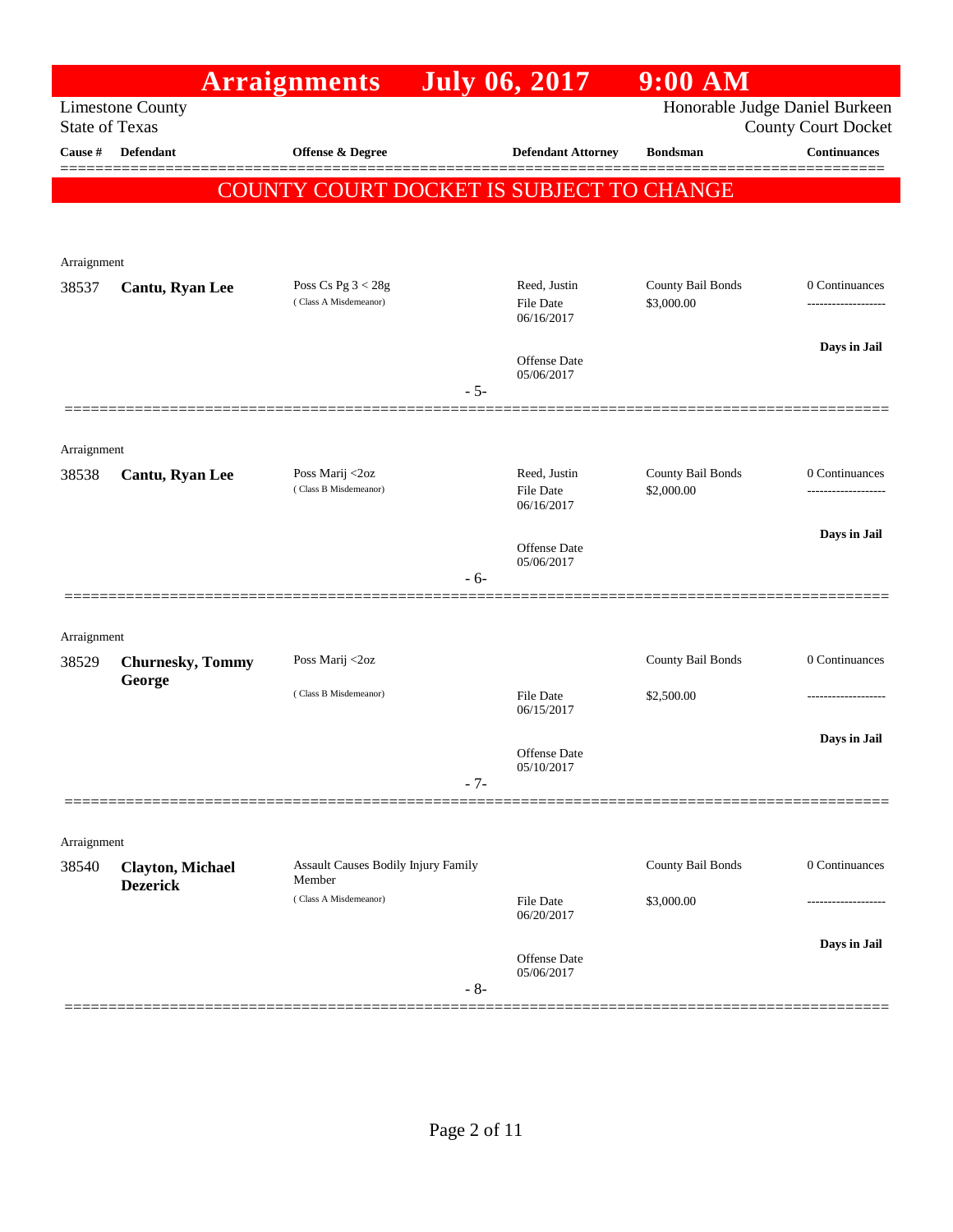|                       |                                            | <b>Arraignments</b>                                  |       | <b>July 06, 2017</b>              | 9:00 AM           |                                                              |
|-----------------------|--------------------------------------------|------------------------------------------------------|-------|-----------------------------------|-------------------|--------------------------------------------------------------|
| <b>State of Texas</b> | <b>Limestone County</b>                    |                                                      |       |                                   |                   | Honorable Judge Daniel Burkeen<br><b>County Court Docket</b> |
| Cause #               | <b>Defendant</b>                           | <b>Offense &amp; Degree</b>                          |       | <b>Defendant Attorney</b>         | <b>Bondsman</b>   | <b>Continuances</b>                                          |
|                       |                                            | COUNTY COURT DOCKET IS SUBJECT TO CHANGE             |       |                                   |                   |                                                              |
|                       |                                            |                                                      |       |                                   |                   |                                                              |
| Arraignment           |                                            |                                                      |       |                                   |                   |                                                              |
| 38537                 | Cantu, Ryan Lee                            | Poss Cs Pg $3 < 28g$                                 |       | Reed, Justin                      | County Bail Bonds | 0 Continuances                                               |
|                       |                                            | (Class A Misdemeanor)                                |       | <b>File Date</b><br>06/16/2017    | \$3,000.00        |                                                              |
|                       |                                            |                                                      |       |                                   |                   | Days in Jail                                                 |
|                       |                                            |                                                      |       | <b>Offense Date</b><br>05/06/2017 |                   |                                                              |
|                       |                                            |                                                      | $-5-$ |                                   |                   |                                                              |
| Arraignment           |                                            |                                                      |       |                                   |                   |                                                              |
| 38538                 | Cantu, Ryan Lee                            | Poss Marij <2oz                                      |       | Reed, Justin                      | County Bail Bonds | 0 Continuances                                               |
|                       |                                            | (Class B Misdemeanor)                                |       | <b>File Date</b><br>06/16/2017    | \$2,000.00        | ------------------                                           |
|                       |                                            |                                                      |       | <b>Offense Date</b>               |                   | Days in Jail                                                 |
|                       |                                            |                                                      | $-6-$ | 05/06/2017                        |                   |                                                              |
|                       |                                            |                                                      |       |                                   |                   |                                                              |
| Arraignment           |                                            |                                                      |       |                                   |                   |                                                              |
| 38529                 | <b>Churnesky, Tommy</b>                    | Poss Marij <2oz                                      |       |                                   | County Bail Bonds | 0 Continuances                                               |
|                       | George                                     | (Class B Misdemeanor)                                |       | <b>File Date</b>                  | \$2,500.00        |                                                              |
|                       |                                            |                                                      |       | 06/15/2017                        |                   |                                                              |
|                       |                                            |                                                      |       | <b>Offense Date</b>               |                   | Days in Jail                                                 |
|                       |                                            |                                                      | $-7-$ | 05/10/2017                        |                   |                                                              |
|                       |                                            |                                                      |       |                                   |                   |                                                              |
| Arraignment           |                                            |                                                      |       |                                   |                   |                                                              |
| 38540                 | <b>Clayton, Michael</b><br><b>Dezerick</b> | <b>Assault Causes Bodily Injury Family</b><br>Member |       |                                   | County Bail Bonds | 0 Continuances                                               |
|                       |                                            | (Class A Misdemeanor)                                |       | <b>File Date</b><br>06/20/2017    | \$3,000.00        |                                                              |
|                       |                                            |                                                      |       |                                   |                   | Days in Jail                                                 |
|                       |                                            |                                                      | $-8-$ | Offense Date<br>05/06/2017        |                   |                                                              |
|                       |                                            |                                                      |       |                                   |                   |                                                              |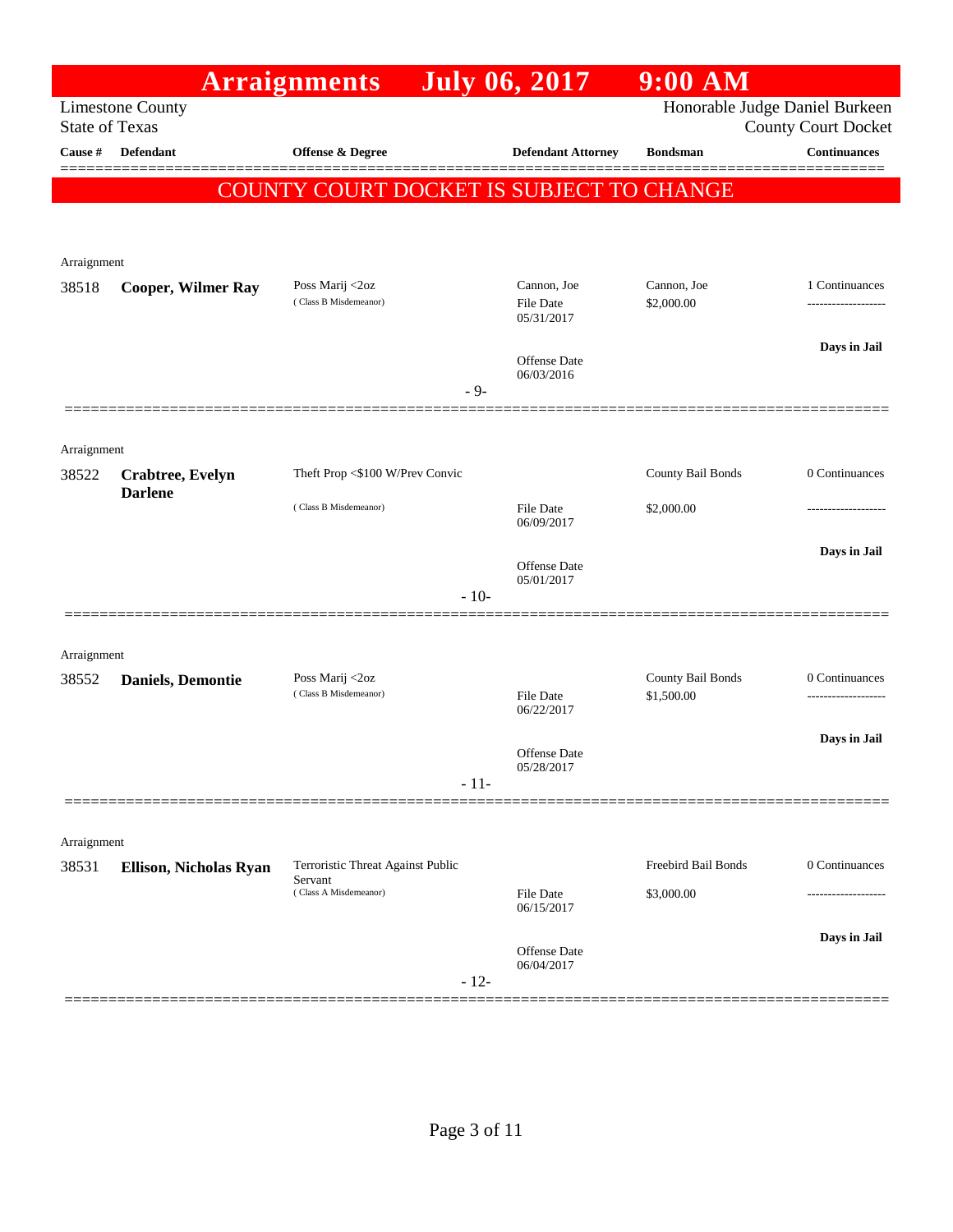|                       |                           | <b>Arraignments</b>                      |        | <b>July 06, 2017</b>            | $9:00$ AM                      |                                      |
|-----------------------|---------------------------|------------------------------------------|--------|---------------------------------|--------------------------------|--------------------------------------|
| <b>State of Texas</b> | <b>Limestone County</b>   |                                          |        |                                 | Honorable Judge Daniel Burkeen | <b>County Court Docket</b>           |
| Cause #               | <b>Defendant</b>          | <b>Offense &amp; Degree</b>              |        | <b>Defendant Attorney</b>       | <b>Bondsman</b>                | <b>Continuances</b>                  |
|                       |                           |                                          |        |                                 |                                |                                      |
|                       |                           | COUNTY COURT DOCKET IS SUBJECT TO CHANGE |        |                                 |                                |                                      |
|                       |                           |                                          |        |                                 |                                |                                      |
| Arraignment           |                           |                                          |        |                                 |                                |                                      |
| 38518                 | <b>Cooper, Wilmer Ray</b> | Poss Marij <2oz<br>(Class B Misdemeanor) |        | Cannon, Joe<br><b>File Date</b> | Cannon, Joe<br>\$2,000.00      | 1 Continuances<br>------------------ |
|                       |                           |                                          |        | 05/31/2017                      |                                |                                      |
|                       |                           |                                          |        | Offense Date                    |                                | Days in Jail                         |
|                       |                           |                                          | $-9-$  | 06/03/2016                      |                                |                                      |
|                       |                           |                                          |        |                                 |                                |                                      |
| Arraignment           |                           |                                          |        |                                 |                                |                                      |
| 38522                 | Crabtree, Evelyn          | Theft Prop <\$100 W/Prev Convic          |        |                                 | County Bail Bonds              | 0 Continuances                       |
|                       | <b>Darlene</b>            | (Class B Misdemeanor)                    |        | <b>File Date</b>                | \$2,000.00                     |                                      |
|                       |                           |                                          |        | 06/09/2017                      |                                |                                      |
|                       |                           |                                          |        | Offense Date                    |                                | Days in Jail                         |
|                       |                           |                                          | $-10-$ | 05/01/2017                      |                                |                                      |
|                       |                           |                                          |        |                                 |                                |                                      |
| Arraignment           |                           |                                          |        |                                 |                                |                                      |
| 38552                 | <b>Daniels</b> , Demontie | Poss Marij <2oz<br>(Class B Misdemeanor) |        |                                 | County Bail Bonds              | 0 Continuances                       |
|                       |                           |                                          |        | <b>File Date</b><br>06/22/2017  | \$1,500.00                     | -------------------                  |
|                       |                           |                                          |        | Offense Date                    |                                | Days in Jail                         |
|                       |                           |                                          |        | 05/28/2017                      |                                |                                      |
|                       |                           |                                          | $-11-$ |                                 |                                |                                      |
|                       |                           |                                          |        |                                 |                                |                                      |
| Arraignment<br>38531  | Ellison, Nicholas Ryan    | Terroristic Threat Against Public        |        |                                 | Freebird Bail Bonds            | 0 Continuances                       |
|                       |                           | Servant<br>(Class A Misdemeanor)         |        | File Date                       | \$3,000.00                     | .                                    |
|                       |                           |                                          |        | 06/15/2017                      |                                |                                      |
|                       |                           |                                          |        | Offense Date                    |                                | Days in Jail                         |
|                       |                           |                                          | $-12-$ | 06/04/2017                      |                                |                                      |
|                       |                           |                                          |        |                                 |                                |                                      |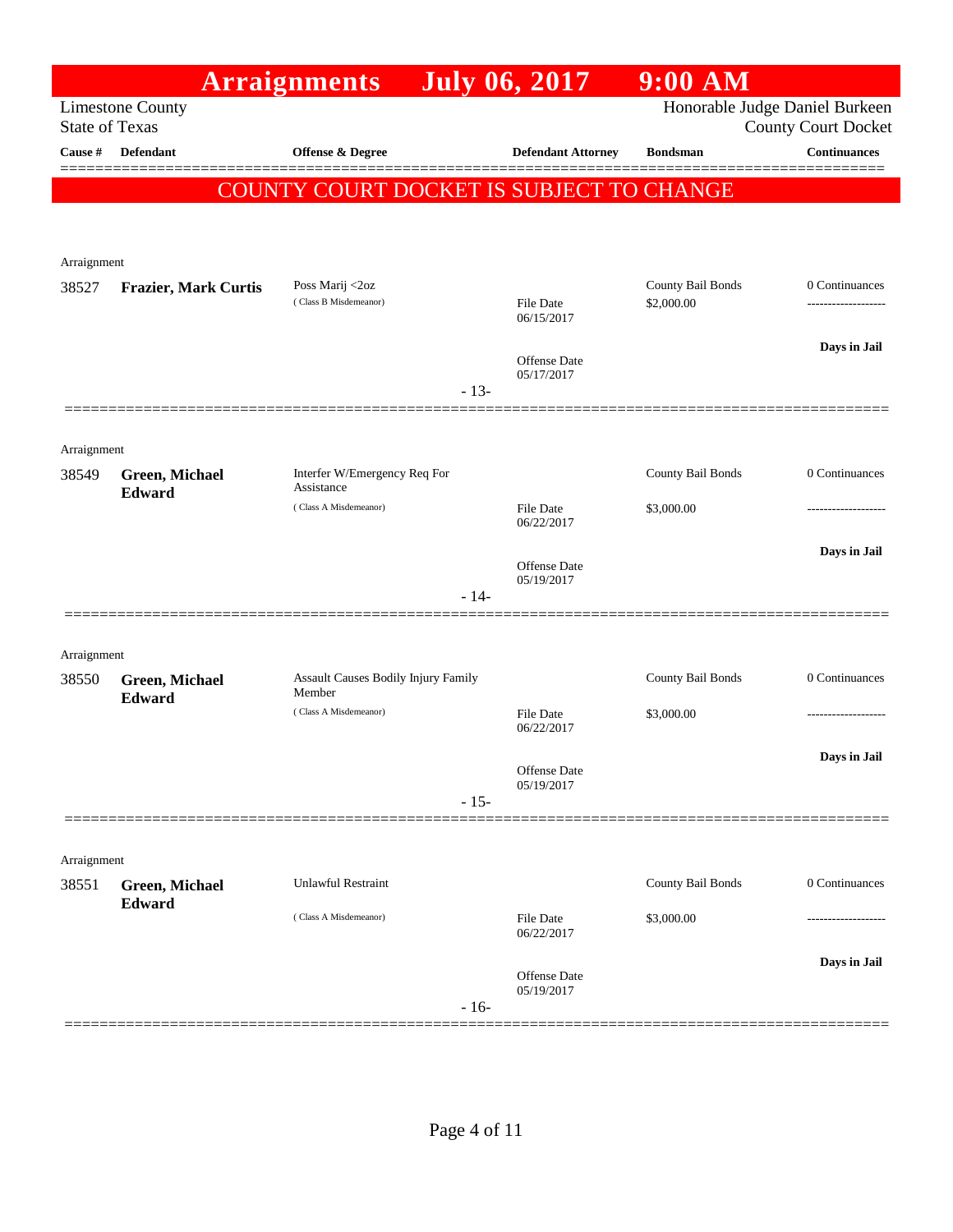|                                  |                                 | <b>Arraignments</b>                                  | <b>July 06, 2017</b>              | $9:00$ AM         |                                                   |
|----------------------------------|---------------------------------|------------------------------------------------------|-----------------------------------|-------------------|---------------------------------------------------|
|                                  | <b>Limestone County</b>         |                                                      |                                   |                   | Honorable Judge Daniel Burkeen                    |
| <b>State of Texas</b><br>Cause # | <b>Defendant</b>                | <b>Offense &amp; Degree</b>                          | <b>Defendant Attorney</b>         | <b>Bondsman</b>   | <b>County Court Docket</b><br><b>Continuances</b> |
|                                  |                                 |                                                      |                                   |                   |                                                   |
|                                  |                                 | COUNTY COURT DOCKET IS SUBJECT TO CHANGE             |                                   |                   |                                                   |
|                                  |                                 |                                                      |                                   |                   |                                                   |
| Arraignment                      |                                 |                                                      |                                   |                   |                                                   |
| 38527                            | <b>Frazier, Mark Curtis</b>     | Poss Marij <2oz                                      |                                   | County Bail Bonds | 0 Continuances                                    |
|                                  |                                 | (Class B Misdemeanor)                                | <b>File Date</b><br>06/15/2017    | \$2,000.00        |                                                   |
|                                  |                                 |                                                      |                                   |                   | Days in Jail                                      |
|                                  |                                 |                                                      | <b>Offense Date</b><br>05/17/2017 |                   |                                                   |
|                                  |                                 |                                                      | $-13-$                            |                   |                                                   |
|                                  |                                 |                                                      |                                   |                   |                                                   |
| Arraignment                      |                                 |                                                      |                                   |                   |                                                   |
| 38549                            | Green, Michael<br>Edward        | Interfer W/Emergency Req For<br>Assistance           |                                   | County Bail Bonds | 0 Continuances                                    |
|                                  |                                 | (Class A Misdemeanor)                                | <b>File Date</b><br>06/22/2017    | \$3,000.00        | .                                                 |
|                                  |                                 |                                                      |                                   |                   | Days in Jail                                      |
|                                  |                                 |                                                      | <b>Offense Date</b><br>05/19/2017 |                   |                                                   |
|                                  |                                 |                                                      | $-14-$                            |                   |                                                   |
|                                  |                                 |                                                      |                                   |                   |                                                   |
| Arraignment                      |                                 |                                                      |                                   |                   |                                                   |
| 38550                            | <b>Green, Michael</b><br>Edward | <b>Assault Causes Bodily Injury Family</b><br>Member |                                   | County Bail Bonds | 0 Continuances                                    |
|                                  |                                 | (Class A Misdemeanor)                                | <b>File Date</b><br>06/22/2017    | \$3,000.00        | -----------------                                 |
|                                  |                                 |                                                      |                                   |                   | Days in Jail                                      |
|                                  |                                 |                                                      | Offense Date<br>05/19/2017        |                   |                                                   |
|                                  |                                 |                                                      | $-15-$                            |                   |                                                   |
|                                  |                                 |                                                      |                                   |                   |                                                   |
| Arraignment                      |                                 |                                                      |                                   |                   |                                                   |
| 38551                            | Green, Michael<br>Edward        | <b>Unlawful Restraint</b>                            |                                   | County Bail Bonds | 0 Continuances                                    |
|                                  |                                 | (Class A Misdemeanor)                                | File Date                         | \$3,000.00        |                                                   |
|                                  |                                 |                                                      | 06/22/2017                        |                   |                                                   |
|                                  |                                 |                                                      | <b>Offense Date</b><br>05/19/2017 |                   | Days in Jail                                      |
|                                  |                                 |                                                      | $-16-$                            |                   |                                                   |
|                                  |                                 |                                                      |                                   |                   |                                                   |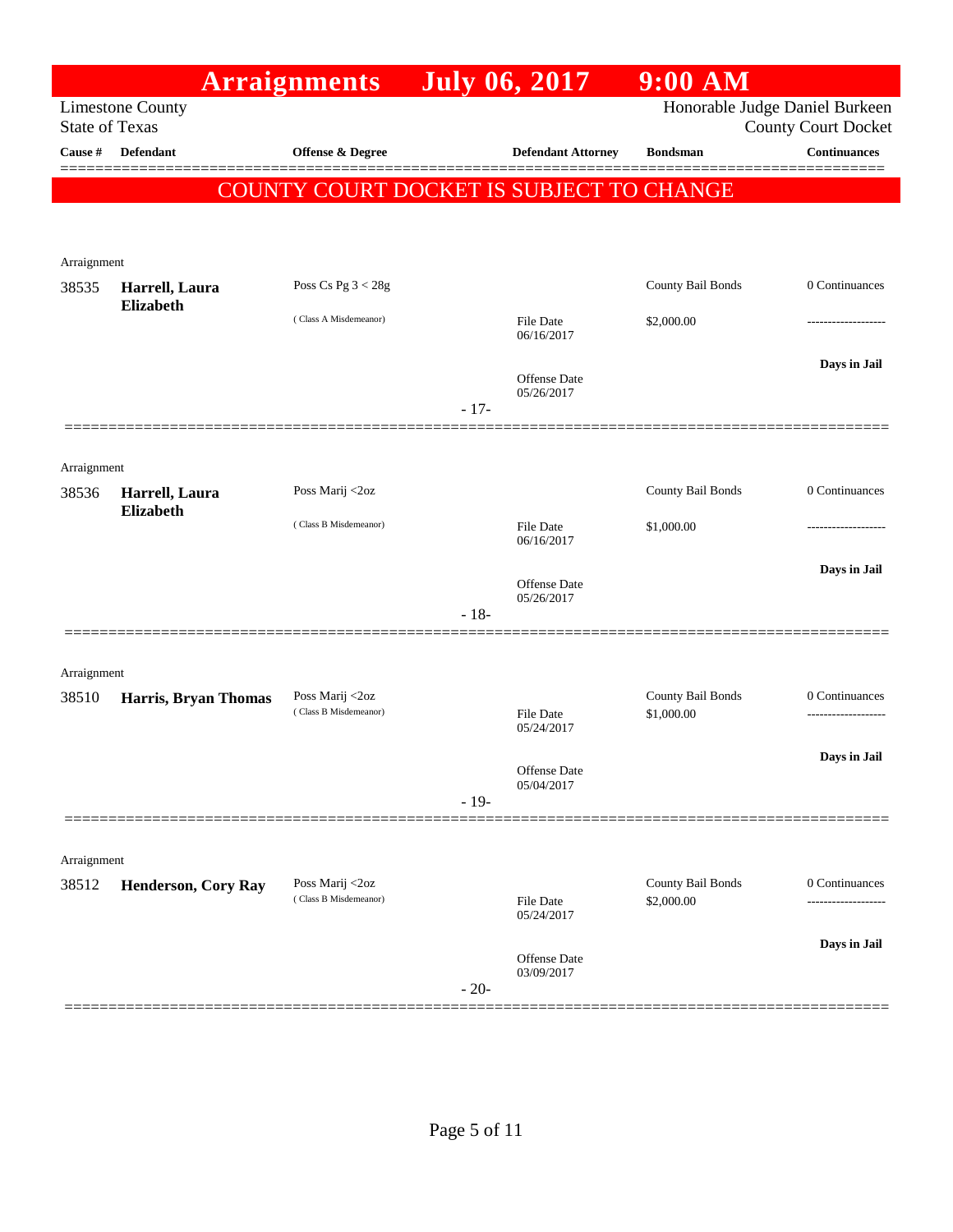|                       |                            | <b>Arraignments</b>                      | <b>July 06, 2017</b> |                                          | $9:00$ AM                              |                                                              |
|-----------------------|----------------------------|------------------------------------------|----------------------|------------------------------------------|----------------------------------------|--------------------------------------------------------------|
| <b>State of Texas</b> | <b>Limestone County</b>    |                                          |                      |                                          |                                        | Honorable Judge Daniel Burkeen<br><b>County Court Docket</b> |
| Cause #               | <b>Defendant</b>           | <b>Offense &amp; Degree</b>              |                      | <b>Defendant Attorney</b>                | <b>Bondsman</b>                        | <b>Continuances</b>                                          |
|                       |                            |                                          |                      | COUNTY COURT DOCKET IS SUBJECT TO CHANGE |                                        |                                                              |
|                       |                            |                                          |                      |                                          |                                        |                                                              |
| Arraignment           |                            |                                          |                      |                                          |                                        |                                                              |
| 38535                 | Harrell, Laura             | Poss Cs Pg $3 < 28g$                     |                      |                                          | County Bail Bonds                      | 0 Continuances                                               |
|                       | <b>Elizabeth</b>           | (Class A Misdemeanor)                    |                      | <b>File Date</b><br>06/16/2017           | \$2,000.00                             |                                                              |
|                       |                            |                                          |                      | Offense Date<br>05/26/2017               |                                        | Days in Jail                                                 |
|                       |                            |                                          | $-17-$               |                                          |                                        |                                                              |
|                       |                            |                                          |                      |                                          |                                        |                                                              |
| Arraignment<br>38536  | Harrell, Laura             | Poss Marij <2oz                          |                      |                                          | County Bail Bonds                      | 0 Continuances                                               |
|                       | <b>Elizabeth</b>           | (Class B Misdemeanor)                    |                      | File Date                                | \$1,000.00                             |                                                              |
|                       |                            |                                          |                      | 06/16/2017                               |                                        | Days in Jail                                                 |
|                       |                            |                                          |                      | <b>Offense</b> Date<br>05/26/2017        |                                        |                                                              |
|                       |                            |                                          | $-18-$               |                                          |                                        |                                                              |
| Arraignment           |                            |                                          |                      |                                          |                                        |                                                              |
| 38510                 | Harris, Bryan Thomas       | Poss Marij <2oz                          |                      |                                          | County Bail Bonds                      | 0 Continuances                                               |
|                       |                            | (Class B Misdemeanor)                    |                      | File Date<br>05/24/2017                  | \$1,000.00                             |                                                              |
|                       |                            |                                          |                      | Offense Date                             |                                        | Days in Jail                                                 |
|                       |                            |                                          | $-19-$               | 05/04/2017                               |                                        |                                                              |
|                       |                            |                                          |                      |                                          |                                        |                                                              |
| Arraignment           |                            |                                          |                      |                                          |                                        |                                                              |
| 38512                 | <b>Henderson, Cory Ray</b> | Poss Marij <2oz<br>(Class B Misdemeanor) |                      | File Date<br>05/24/2017                  | <b>County Bail Bonds</b><br>\$2,000.00 | 0 Continuances<br>-------------                              |
|                       |                            |                                          | $-20-$               | <b>Offense</b> Date<br>03/09/2017        |                                        | Days in Jail                                                 |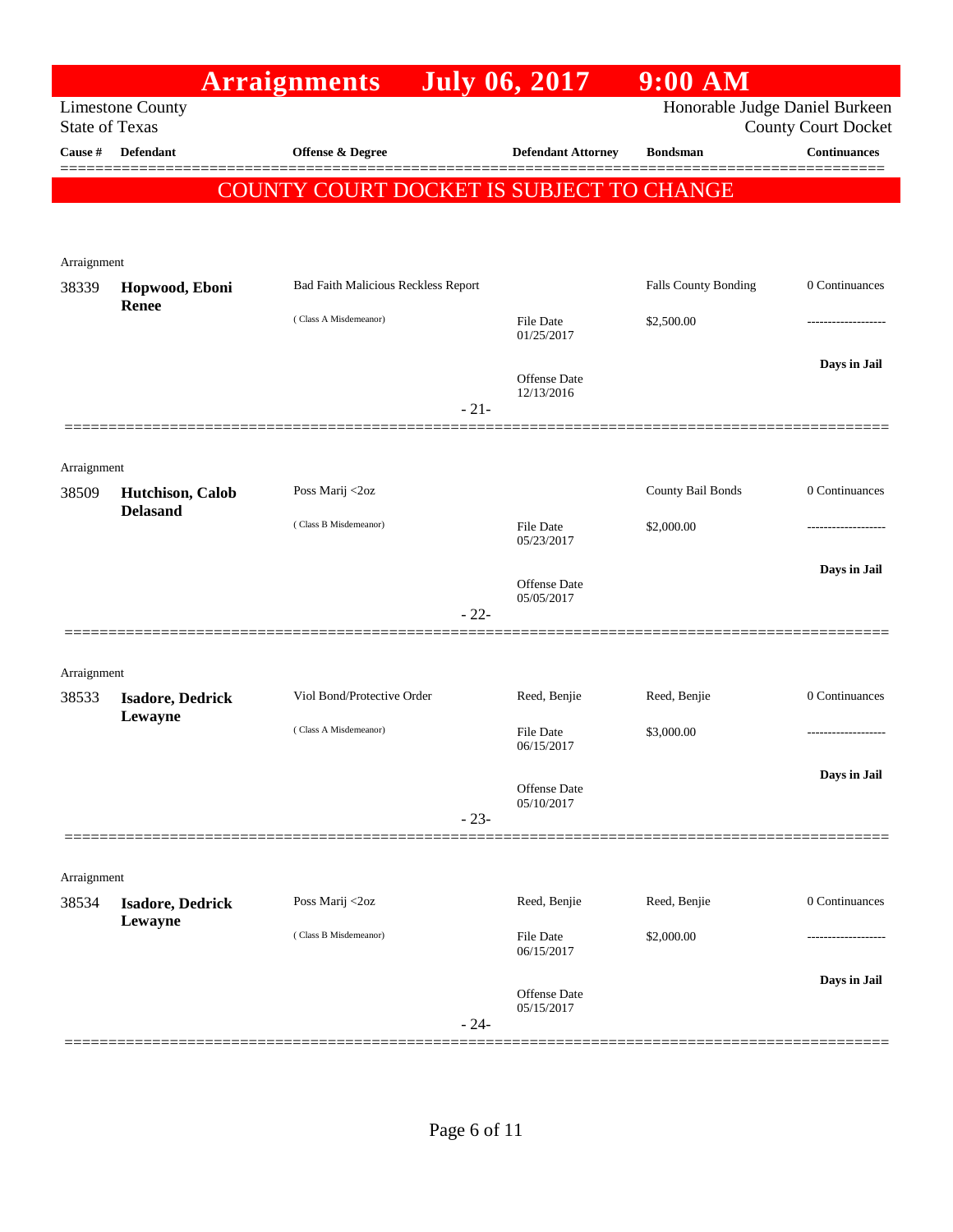|                                  |                                    | <b>Arraignments</b>                        |        | <b>July 06, 2017</b>           | $9:00$ AM                      |                                                   |
|----------------------------------|------------------------------------|--------------------------------------------|--------|--------------------------------|--------------------------------|---------------------------------------------------|
|                                  | <b>Limestone County</b>            |                                            |        |                                | Honorable Judge Daniel Burkeen |                                                   |
| <b>State of Texas</b><br>Cause # | <b>Defendant</b>                   | <b>Offense &amp; Degree</b>                |        | <b>Defendant Attorney</b>      | <b>Bondsman</b>                | <b>County Court Docket</b><br><b>Continuances</b> |
|                                  |                                    |                                            |        |                                |                                |                                                   |
|                                  |                                    | COUNTY COURT DOCKET IS SUBJECT TO CHANGE   |        |                                |                                |                                                   |
|                                  |                                    |                                            |        |                                |                                |                                                   |
| Arraignment                      |                                    |                                            |        |                                |                                |                                                   |
| 38339                            | Hopwood, Eboni                     | <b>Bad Faith Malicious Reckless Report</b> |        |                                | Falls County Bonding           | 0 Continuances                                    |
|                                  | <b>Renee</b>                       | (Class A Misdemeanor)                      |        | <b>File Date</b>               | \$2,500.00                     |                                                   |
|                                  |                                    |                                            |        | 01/25/2017                     |                                |                                                   |
|                                  |                                    |                                            |        | <b>Offense Date</b>            |                                | Days in Jail                                      |
|                                  |                                    |                                            | $-21-$ | 12/13/2016                     |                                |                                                   |
|                                  |                                    |                                            |        |                                |                                |                                                   |
|                                  |                                    |                                            |        |                                |                                |                                                   |
| Arraignment<br>38509             | Hutchison, Calob                   | Poss Marij <2oz                            |        |                                | County Bail Bonds              | 0 Continuances                                    |
|                                  | <b>Delasand</b>                    |                                            |        |                                |                                |                                                   |
|                                  |                                    | (Class B Misdemeanor)                      |        | <b>File Date</b><br>05/23/2017 | \$2,000.00                     |                                                   |
|                                  |                                    |                                            |        |                                |                                | Days in Jail                                      |
|                                  |                                    |                                            |        | Offense Date<br>05/05/2017     |                                |                                                   |
|                                  |                                    |                                            | $-22-$ |                                |                                |                                                   |
|                                  |                                    |                                            |        |                                |                                |                                                   |
| Arraignment                      |                                    | Viol Bond/Protective Order                 |        |                                | Reed, Benjie                   | 0 Continuances                                    |
| 38533                            | <b>Isadore, Dedrick</b><br>Lewayne |                                            |        | Reed, Benjie                   |                                |                                                   |
|                                  |                                    | (Class A Misdemeanor)                      |        | File Date<br>06/15/2017        | \$3,000.00                     |                                                   |
|                                  |                                    |                                            |        |                                |                                | Days in Jail                                      |
|                                  |                                    |                                            |        | Offense Date<br>05/10/2017     |                                |                                                   |
|                                  |                                    |                                            | $-23-$ |                                |                                |                                                   |
|                                  |                                    |                                            |        |                                |                                |                                                   |
| Arraignment                      |                                    |                                            |        |                                |                                |                                                   |
| 38534                            | <b>Isadore, Dedrick</b><br>Lewayne | Poss Marij <2oz                            |        | Reed, Benjie                   | Reed, Benjie                   | 0 Continuances                                    |
|                                  |                                    | (Class B Misdemeanor)                      |        | File Date                      | \$2,000.00                     |                                                   |
|                                  |                                    |                                            |        | 06/15/2017                     |                                |                                                   |
|                                  |                                    |                                            |        | Offense Date                   |                                | Days in Jail                                      |
|                                  |                                    |                                            | $-24-$ | 05/15/2017                     |                                |                                                   |
|                                  |                                    |                                            |        |                                |                                |                                                   |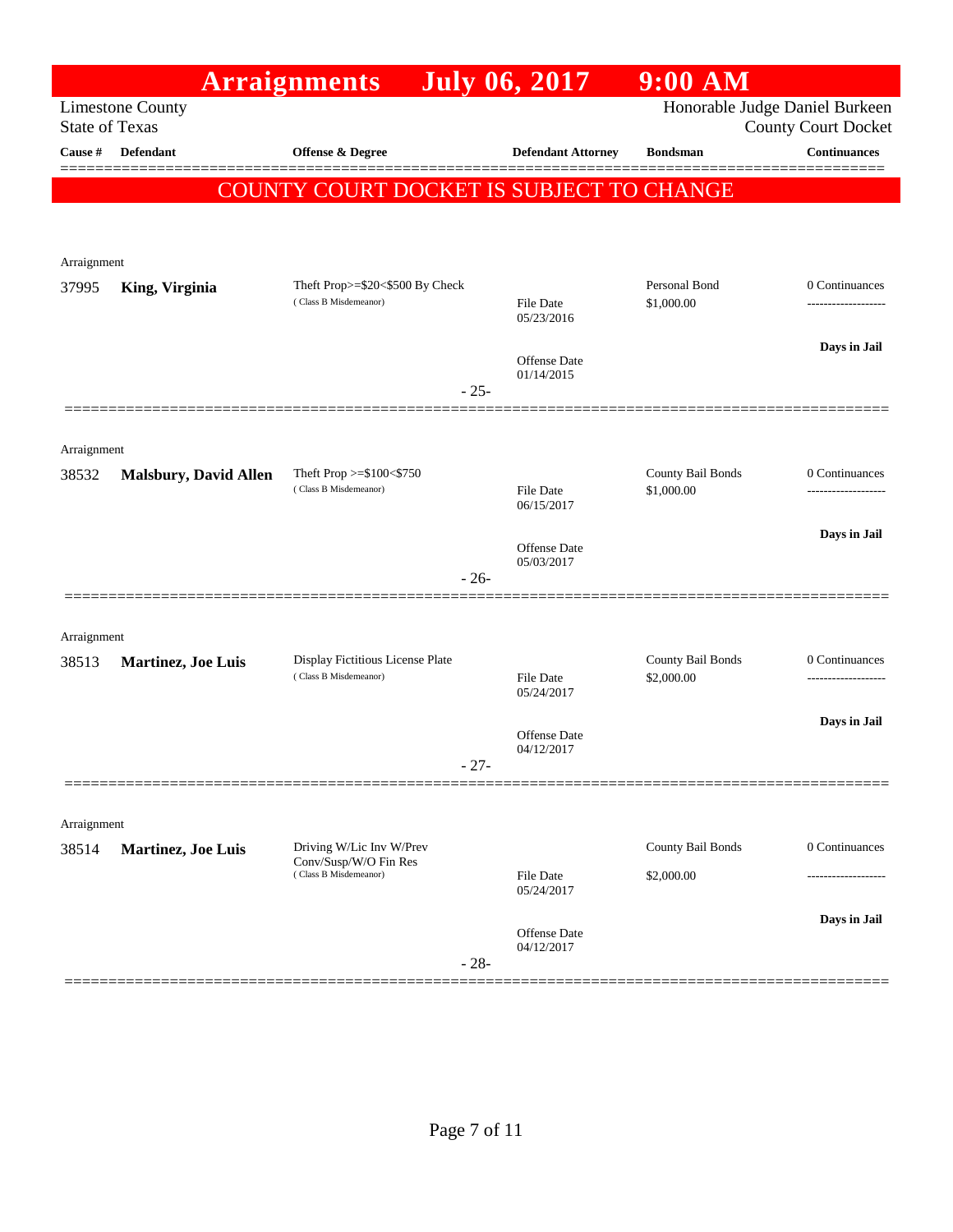|                              |                                                        |                                                                                                                                   | $9:00$ AM                                                                                                                                                          |                                                                                       |
|------------------------------|--------------------------------------------------------|-----------------------------------------------------------------------------------------------------------------------------------|--------------------------------------------------------------------------------------------------------------------------------------------------------------------|---------------------------------------------------------------------------------------|
| <b>Limestone County</b>      |                                                        |                                                                                                                                   |                                                                                                                                                                    | Honorable Judge Daniel Burkeen<br><b>County Court Docket</b>                          |
| <b>Defendant</b>             | Offense & Degree                                       | <b>Defendant Attorney</b>                                                                                                         | <b>Bondsman</b>                                                                                                                                                    | <b>Continuances</b>                                                                   |
|                              |                                                        |                                                                                                                                   |                                                                                                                                                                    |                                                                                       |
|                              |                                                        |                                                                                                                                   |                                                                                                                                                                    |                                                                                       |
|                              |                                                        |                                                                                                                                   |                                                                                                                                                                    |                                                                                       |
|                              |                                                        |                                                                                                                                   |                                                                                                                                                                    | 0 Continuances                                                                        |
|                              | (Class B Misdemeanor)                                  | File Date<br>05/23/2016                                                                                                           | \$1,000.00                                                                                                                                                         |                                                                                       |
|                              |                                                        |                                                                                                                                   |                                                                                                                                                                    | Days in Jail                                                                          |
|                              |                                                        | 01/14/2015                                                                                                                        |                                                                                                                                                                    |                                                                                       |
|                              |                                                        |                                                                                                                                   |                                                                                                                                                                    |                                                                                       |
| Arraignment                  |                                                        |                                                                                                                                   |                                                                                                                                                                    |                                                                                       |
| <b>Malsbury, David Allen</b> | Theft Prop >=\$100<\$750                               |                                                                                                                                   | County Bail Bonds                                                                                                                                                  | 0 Continuances                                                                        |
|                              |                                                        | 06/15/2017                                                                                                                        |                                                                                                                                                                    | ------------------                                                                    |
|                              |                                                        |                                                                                                                                   |                                                                                                                                                                    | Days in Jail                                                                          |
|                              |                                                        | 05/03/2017                                                                                                                        |                                                                                                                                                                    |                                                                                       |
|                              |                                                        |                                                                                                                                   |                                                                                                                                                                    |                                                                                       |
| Arraignment                  |                                                        |                                                                                                                                   |                                                                                                                                                                    |                                                                                       |
| Martinez, Joe Luis           | Display Fictitious License Plate                       |                                                                                                                                   | County Bail Bonds                                                                                                                                                  | 0 Continuances<br>------------------                                                  |
|                              |                                                        | 05/24/2017                                                                                                                        |                                                                                                                                                                    |                                                                                       |
|                              |                                                        | Offense Date                                                                                                                      |                                                                                                                                                                    | Days in Jail                                                                          |
|                              |                                                        | 04/12/2017                                                                                                                        |                                                                                                                                                                    |                                                                                       |
|                              |                                                        |                                                                                                                                   |                                                                                                                                                                    |                                                                                       |
| Arraignment                  |                                                        |                                                                                                                                   |                                                                                                                                                                    |                                                                                       |
| Martinez, Joe Luis           | Driving W/Lic Inv W/Prev                               |                                                                                                                                   | County Bail Bonds                                                                                                                                                  | 0 Continuances                                                                        |
|                              | (Class B Misdemeanor)                                  | File Date<br>05/24/2017                                                                                                           | \$2,000.00                                                                                                                                                         | .                                                                                     |
|                              |                                                        |                                                                                                                                   |                                                                                                                                                                    | Days in Jail                                                                          |
|                              |                                                        | 04/12/2017                                                                                                                        |                                                                                                                                                                    |                                                                                       |
|                              | <b>State of Texas</b><br>Arraignment<br>King, Virginia | <b>Arraignments</b><br>Theft Prop>=\$20<\$500 By Check<br>(Class B Misdemeanor)<br>(Class B Misdemeanor)<br>Conv/Susp/W/O Fin Res | <b>July 06, 2017</b><br><b>Offense Date</b><br>$-25-$<br><b>File Date</b><br><b>Offense Date</b><br>$-26-$<br>File Date<br>$-27-$<br><b>Offense Date</b><br>$-28-$ | COUNTY COURT DOCKET IS SUBJECT TO CHANGE<br>Personal Bond<br>\$1,000.00<br>\$2,000.00 |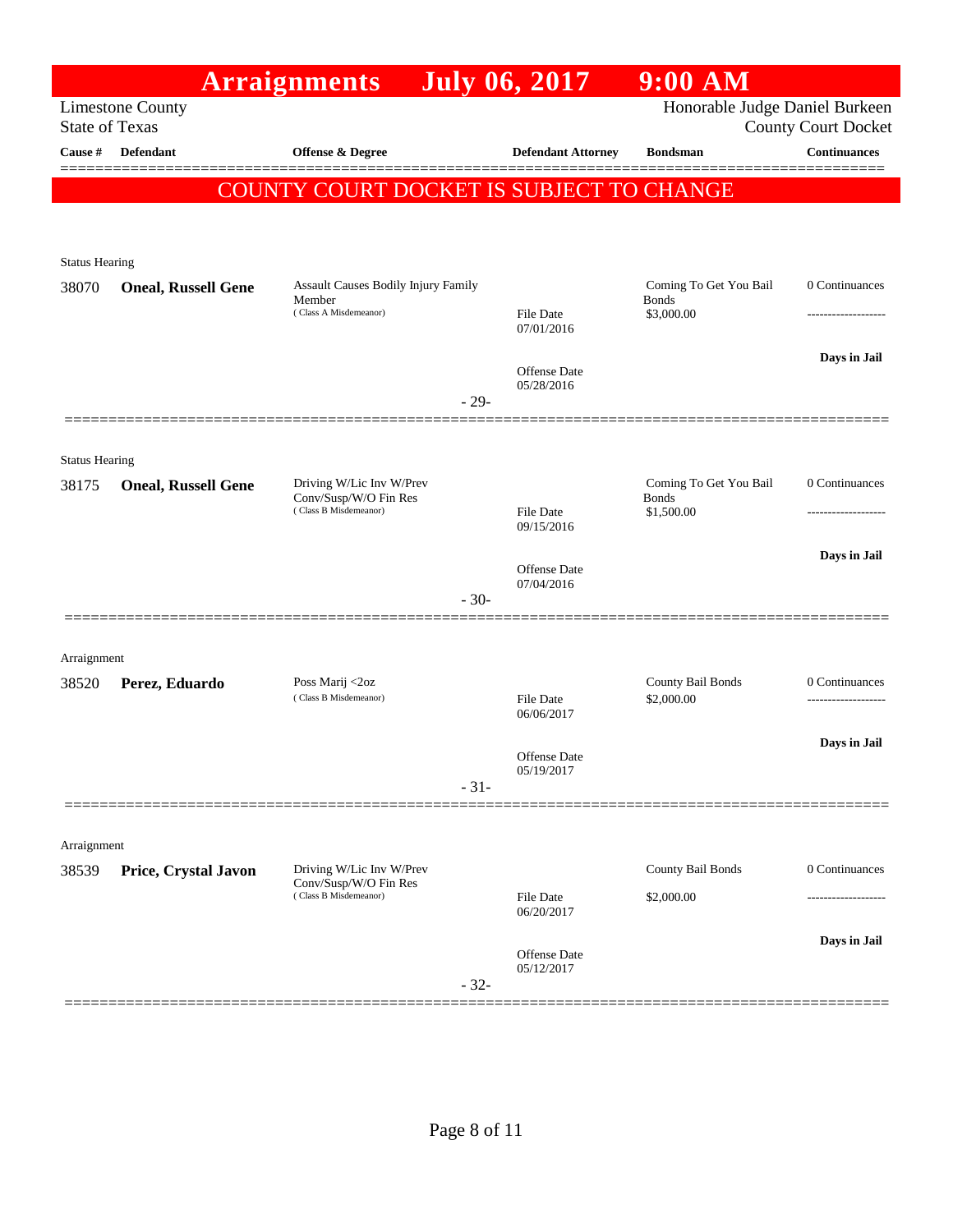|                       |                                                  | <b>Arraignments</b> July 06, 2017                                          |                                   | $9:00$ AM                                            |                            |
|-----------------------|--------------------------------------------------|----------------------------------------------------------------------------|-----------------------------------|------------------------------------------------------|----------------------------|
|                       | <b>Limestone County</b><br><b>State of Texas</b> |                                                                            |                                   | Honorable Judge Daniel Burkeen                       | <b>County Court Docket</b> |
| Cause #               | <b>Defendant</b>                                 | <b>Offense &amp; Degree</b>                                                | <b>Defendant Attorney</b>         | <b>Bondsman</b>                                      | <b>Continuances</b>        |
|                       |                                                  | <b>COUNTY COURT DOCKET IS SUBJECT TO CHANGE</b>                            |                                   |                                                      |                            |
| <b>Status Hearing</b> |                                                  |                                                                            |                                   |                                                      |                            |
| 38070                 | <b>Oneal, Russell Gene</b>                       | Assault Causes Bodily Injury Family<br>Member<br>(Class A Misdemeanor)     | <b>File Date</b><br>07/01/2016    | Coming To Get You Bail<br><b>Bonds</b><br>\$3,000.00 | 0 Continuances             |
|                       |                                                  | $-29-$                                                                     | <b>Offense Date</b><br>05/28/2016 |                                                      | Days in Jail               |
| <b>Status Hearing</b> |                                                  |                                                                            |                                   |                                                      |                            |
| 38175                 | <b>Oneal, Russell Gene</b>                       | Driving W/Lic Inv W/Prev<br>Conv/Susp/W/O Fin Res<br>(Class B Misdemeanor) | <b>File Date</b><br>09/15/2016    | Coming To Get You Bail<br><b>Bonds</b><br>\$1,500.00 | 0 Continuances             |
|                       |                                                  | $-30-$                                                                     | Offense Date<br>07/04/2016        |                                                      | Days in Jail               |
| Arraignment           |                                                  |                                                                            |                                   |                                                      |                            |
| 38520                 | Perez, Eduardo                                   | Poss Marij <2oz<br>(Class B Misdemeanor)                                   | <b>File Date</b><br>06/06/2017    | County Bail Bonds<br>\$2,000.00                      | 0 Continuances             |
|                       |                                                  | $-31-$                                                                     | <b>Offense Date</b><br>05/19/2017 |                                                      | Days in Jail               |
| Arraignment           |                                                  |                                                                            |                                   |                                                      |                            |
| 38539                 | Price, Crystal Javon                             | Driving W/Lic Inv W/Prev<br>Conv/Susp/W/O Fin Res<br>(Class B Misdemeanor) | File Date                         | County Bail Bonds<br>\$2,000.00                      | 0 Continuances             |
|                       |                                                  |                                                                            | 06/20/2017                        |                                                      | Days in Jail               |
|                       |                                                  | $-32-$                                                                     | <b>Offense Date</b><br>05/12/2017 |                                                      |                            |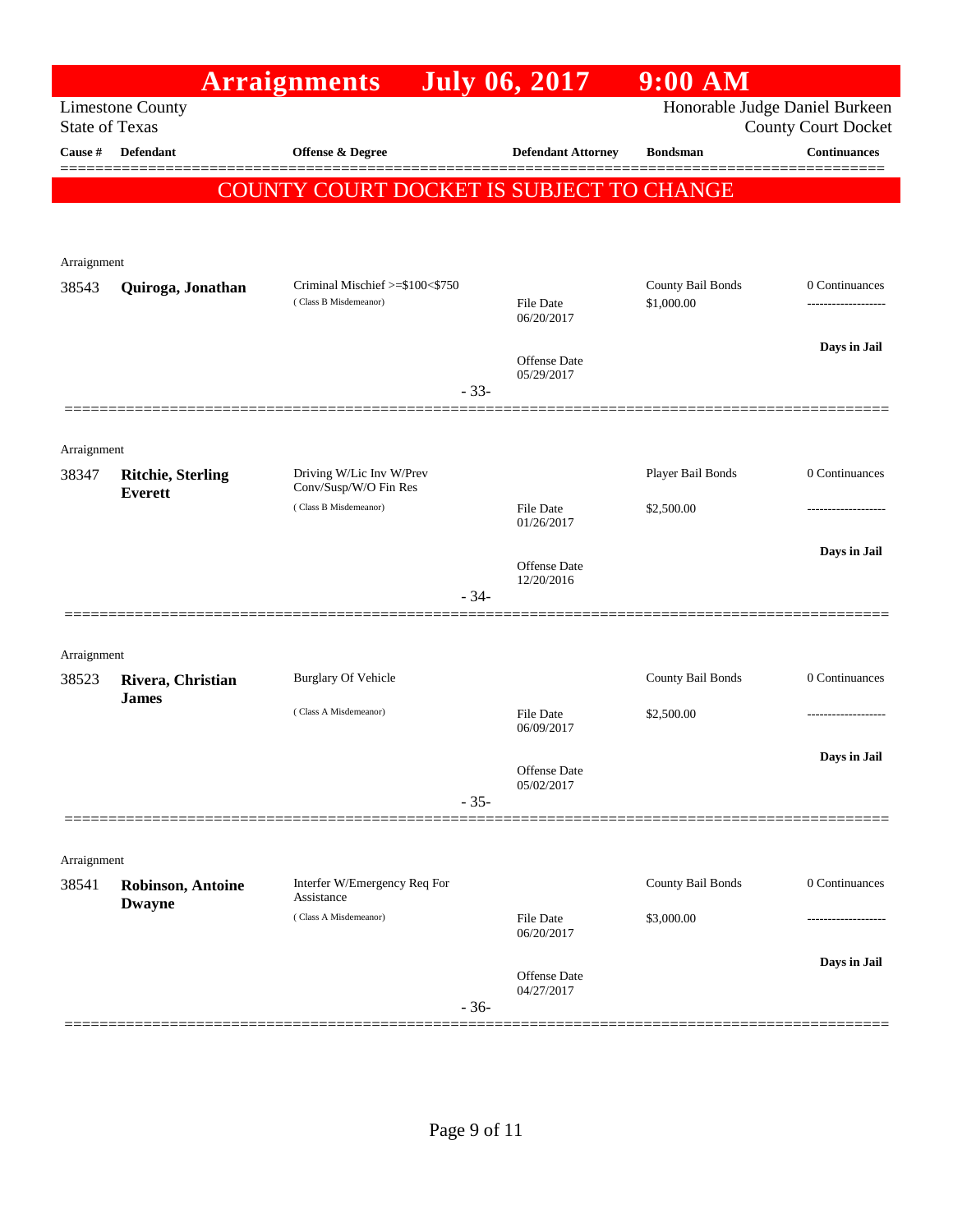|                       |                                            | <b>Arraignments</b>                                      | <b>July 06, 2017</b>           | $9:00$ AM                       |                                                              |
|-----------------------|--------------------------------------------|----------------------------------------------------------|--------------------------------|---------------------------------|--------------------------------------------------------------|
| <b>State of Texas</b> | <b>Limestone County</b>                    |                                                          |                                |                                 | Honorable Judge Daniel Burkeen<br><b>County Court Docket</b> |
| Cause #               | <b>Defendant</b>                           | Offense & Degree                                         | <b>Defendant Attorney</b>      | <b>Bondsman</b>                 | <b>Continuances</b>                                          |
|                       |                                            | COUNTY COURT DOCKET IS SUBJECT TO CHANGE                 |                                |                                 |                                                              |
| Arraignment           |                                            |                                                          |                                |                                 |                                                              |
| 38543                 | Quiroga, Jonathan                          | Criminal Mischief >=\$100<\$750<br>(Class B Misdemeanor) | <b>File Date</b><br>06/20/2017 | County Bail Bonds<br>\$1,000.00 | 0 Continuances<br>-----------------                          |
|                       |                                            | $-33-$                                                   | Offense Date<br>05/29/2017     |                                 | Days in Jail                                                 |
| Arraignment           |                                            |                                                          |                                |                                 |                                                              |
| 38347                 | <b>Ritchie, Sterling</b><br><b>Everett</b> | Driving W/Lic Inv W/Prev<br>Conv/Susp/W/O Fin Res        |                                | Player Bail Bonds               | 0 Continuances                                               |
|                       |                                            | (Class B Misdemeanor)                                    | <b>File Date</b><br>01/26/2017 | \$2,500.00                      |                                                              |
|                       |                                            |                                                          |                                |                                 | Days in Jail                                                 |
|                       |                                            | $-34-$                                                   | Offense Date<br>12/20/2016     |                                 |                                                              |
| Arraignment           |                                            |                                                          |                                |                                 |                                                              |
| 38523                 | Rivera, Christian<br><b>James</b>          | <b>Burglary Of Vehicle</b>                               |                                | County Bail Bonds               | 0 Continuances                                               |
|                       |                                            | (Class A Misdemeanor)                                    | <b>File Date</b><br>06/09/2017 | \$2,500.00                      |                                                              |
|                       |                                            | $-35-$                                                   | Offense Date<br>05/02/2017     |                                 | Davs in Jail                                                 |
| Arraignment           |                                            |                                                          |                                |                                 |                                                              |
| 38541                 | <b>Robinson, Antoine</b><br><b>Dwayne</b>  | Interfer W/Emergency Req For<br>Assistance               |                                | County Bail Bonds               | 0 Continuances                                               |
|                       |                                            | (Class A Misdemeanor)                                    | <b>File Date</b><br>06/20/2017 | \$3,000.00                      |                                                              |
|                       |                                            | $-36-$                                                   | Offense Date<br>04/27/2017     |                                 | Days in Jail                                                 |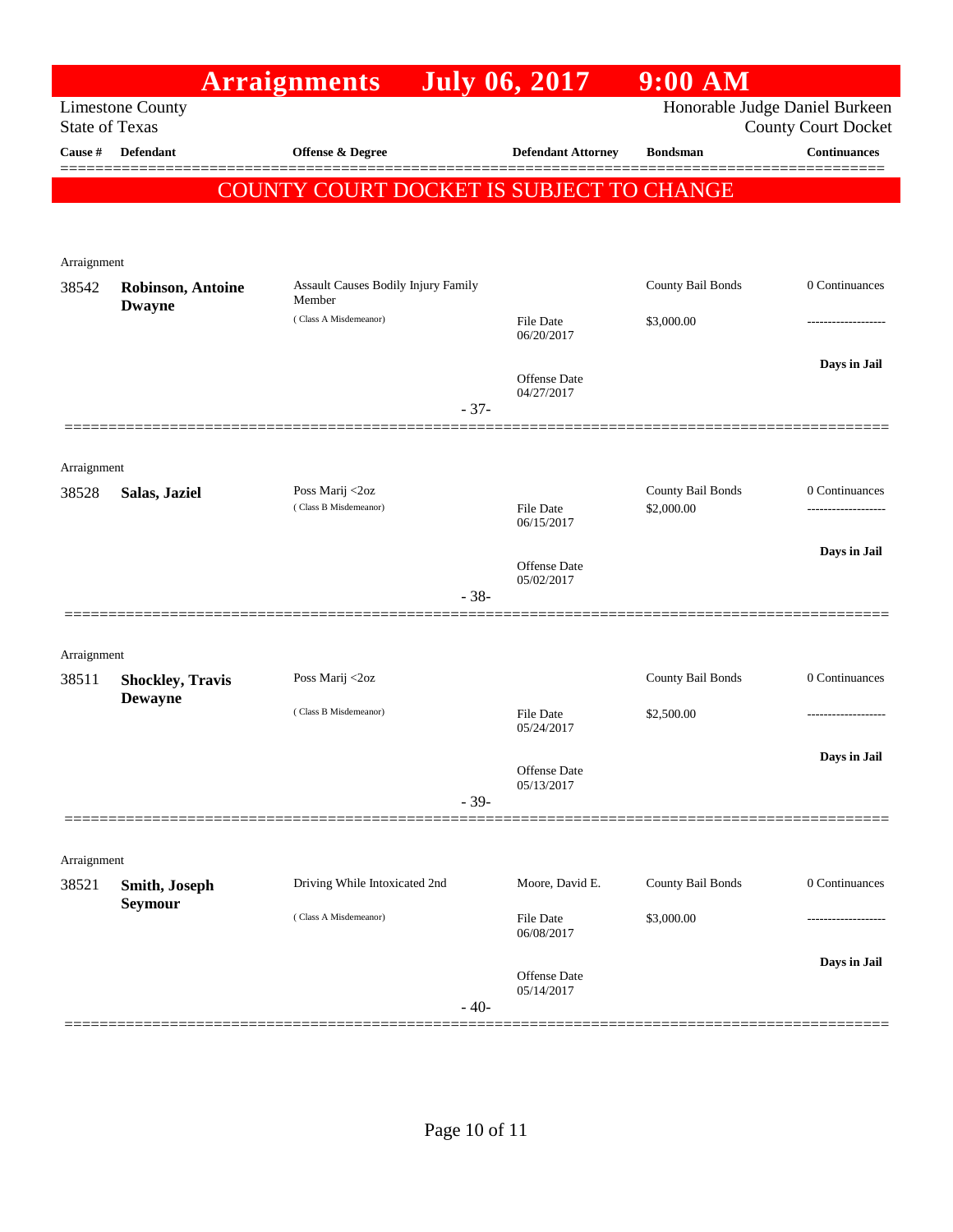|                                  |                          | <b>Arraignments</b>                                  |        | <b>July 06, 2017</b>              | $9:00$ AM         |                                                   |
|----------------------------------|--------------------------|------------------------------------------------------|--------|-----------------------------------|-------------------|---------------------------------------------------|
|                                  | <b>Limestone County</b>  |                                                      |        |                                   |                   | Honorable Judge Daniel Burkeen                    |
| <b>State of Texas</b><br>Cause # | <b>Defendant</b>         | Offense & Degree                                     |        | <b>Defendant Attorney</b>         | <b>Bondsman</b>   | <b>County Court Docket</b><br><b>Continuances</b> |
|                                  |                          |                                                      |        |                                   |                   |                                                   |
|                                  |                          | COUNTY COURT DOCKET IS SUBJECT TO CHANGE             |        |                                   |                   |                                                   |
|                                  |                          |                                                      |        |                                   |                   |                                                   |
| Arraignment                      |                          |                                                      |        |                                   |                   |                                                   |
| 38542                            | <b>Robinson, Antoine</b> | <b>Assault Causes Bodily Injury Family</b><br>Member |        |                                   | County Bail Bonds | 0 Continuances                                    |
|                                  | <b>Dwayne</b>            | (Class A Misdemeanor)                                |        | File Date                         | \$3,000.00        |                                                   |
|                                  |                          |                                                      |        | 06/20/2017                        |                   |                                                   |
|                                  |                          |                                                      |        | <b>Offense</b> Date               |                   | Days in Jail                                      |
|                                  |                          |                                                      | $-37-$ | 04/27/2017                        |                   |                                                   |
|                                  |                          |                                                      |        |                                   |                   |                                                   |
| Arraignment                      |                          |                                                      |        |                                   |                   |                                                   |
| 38528                            | Salas, Jaziel            | Poss Marij <2oz                                      |        |                                   | County Bail Bonds | 0 Continuances                                    |
|                                  |                          | (Class B Misdemeanor)                                |        | File Date<br>06/15/2017           | \$2,000.00        |                                                   |
|                                  |                          |                                                      |        |                                   |                   | Days in Jail                                      |
|                                  |                          |                                                      |        | <b>Offense</b> Date<br>05/02/2017 |                   |                                                   |
|                                  |                          |                                                      | $-38-$ |                                   |                   |                                                   |
|                                  |                          |                                                      |        |                                   |                   |                                                   |
| Arraignment<br>38511             | <b>Shockley, Travis</b>  | Poss Marij <2oz                                      |        |                                   | County Bail Bonds | 0 Continuances                                    |
|                                  | <b>Dewayne</b>           |                                                      |        |                                   |                   |                                                   |
|                                  |                          | (Class B Misdemeanor)                                |        | File Date<br>05/24/2017           | \$2,500.00        |                                                   |
|                                  |                          |                                                      |        |                                   |                   | Days in Jail                                      |
|                                  |                          |                                                      |        | Offense Date<br>05/13/2017        |                   |                                                   |
|                                  |                          |                                                      | $-39-$ |                                   |                   |                                                   |
|                                  |                          |                                                      |        |                                   |                   |                                                   |
| Arraignment<br>38521             | Smith, Joseph            | Driving While Intoxicated 2nd                        |        | Moore, David E.                   | County Bail Bonds | 0 Continuances                                    |
|                                  | <b>Seymour</b>           | (Class A Misdemeanor)                                |        |                                   |                   |                                                   |
|                                  |                          |                                                      |        | File Date<br>06/08/2017           | \$3,000.00        | .                                                 |
|                                  |                          |                                                      |        |                                   |                   | Days in Jail                                      |
|                                  |                          |                                                      |        | <b>Offense Date</b><br>05/14/2017 |                   |                                                   |
|                                  |                          |                                                      | $-40-$ |                                   |                   |                                                   |